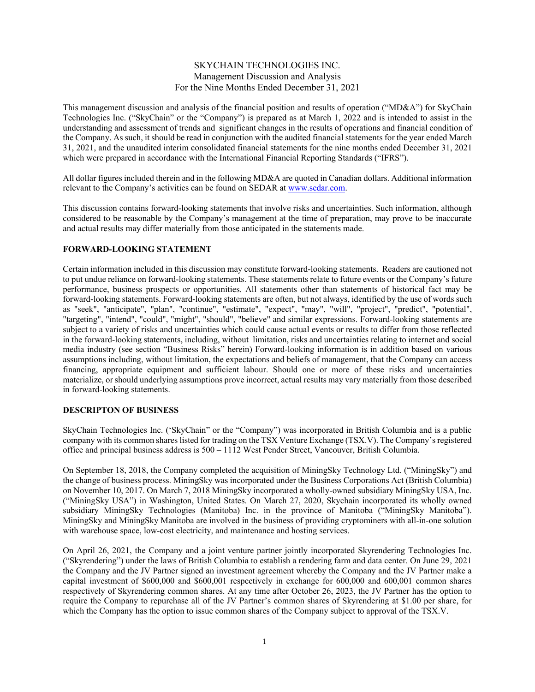# SKYCHAIN TECHNOLOGIES INC. Management Discussion and Analysis For the Nine Months Ended December 31, 2021

This management discussion and analysis of the financial position and results of operation ("MD&A") for SkyChain Technologies Inc. ("SkyChain" or the "Company") is prepared as at March 1, 2022 and is intended to assist in the understanding and assessment of trends and significant changes in the results of operations and financial condition of the Company. As such, it should be read in conjunction with the audited financial statements for the year ended March 31, 2021, and the unaudited interim consolidated financial statements for the nine months ended December 31, 2021 which were prepared in accordance with the International Financial Reporting Standards ("IFRS").

All dollar figures included therein and in the following MD&A are quoted in Canadian dollars. Additional information relevant to the Company's activities can be found on SEDAR at www.sedar.com.

This discussion contains forward-looking statements that involve risks and uncertainties. Such information, although considered to be reasonable by the Company's management at the time of preparation, may prove to be inaccurate and actual results may differ materially from those anticipated in the statements made.

## **FORWARD-LOOKING STATEMENT**

Certain information included in this discussion may constitute forward-looking statements. Readers are cautioned not to put undue reliance on forward-looking statements. These statements relate to future events or the Company's future performance, business prospects or opportunities. All statements other than statements of historical fact may be forward-looking statements. Forward-looking statements are often, but not always, identified by the use of words such as "seek", "anticipate", "plan", "continue", "estimate", "expect", "may", "will", "project", "predict", "potential", "targeting", "intend", "could", "might", "should", "believe" and similar expressions. Forward-looking statements are subject to a variety of risks and uncertainties which could cause actual events or results to differ from those reflected in the forward-looking statements, including, without limitation, risks and uncertainties relating to internet and social media industry (see section "Business Risks" herein) Forward-looking information is in addition based on various assumptions including, without limitation, the expectations and beliefs of management, that the Company can access financing, appropriate equipment and sufficient labour. Should one or more of these risks and uncertainties materialize, or should underlying assumptions prove incorrect, actual results may vary materially from those described in forward-looking statements.

# **DESCRIPTON OF BUSINESS**

SkyChain Technologies Inc. ('SkyChain" or the "Company") was incorporated in British Columbia and is a public company with its common shares listed for trading on the TSX Venture Exchange (TSX.V). The Company's registered office and principal business address is 500 – 1112 West Pender Street, Vancouver, British Columbia.

On September 18, 2018, the Company completed the acquisition of MiningSky Technology Ltd. ("MiningSky") and the change of business process. MiningSky was incorporated under the Business Corporations Act (British Columbia) on November 10, 2017. On March 7, 2018 MiningSky incorporated a wholly-owned subsidiary MiningSky USA, Inc. ("MiningSky USA") in Washington, United States. On March 27, 2020, Skychain incorporated its wholly owned subsidiary MiningSky Technologies (Manitoba) Inc. in the province of Manitoba ("MiningSky Manitoba"). MiningSky and MiningSky Manitoba are involved in the business of providing cryptominers with all-in-one solution with warehouse space, low-cost electricity, and maintenance and hosting services.

On April 26, 2021, the Company and a joint venture partner jointly incorporated Skyrendering Technologies Inc. ("Skyrendering") under the laws of British Columbia to establish a rendering farm and data center. On June 29, 2021 the Company and the JV Partner signed an investment agreement whereby the Company and the JV Partner make a capital investment of \$600,000 and \$600,001 respectively in exchange for 600,000 and 600,001 common shares respectively of Skyrendering common shares. At any time after October 26, 2023, the JV Partner has the option to require the Company to repurchase all of the JV Partner's common shares of Skyrendering at \$1.00 per share, for which the Company has the option to issue common shares of the Company subject to approval of the TSX.V.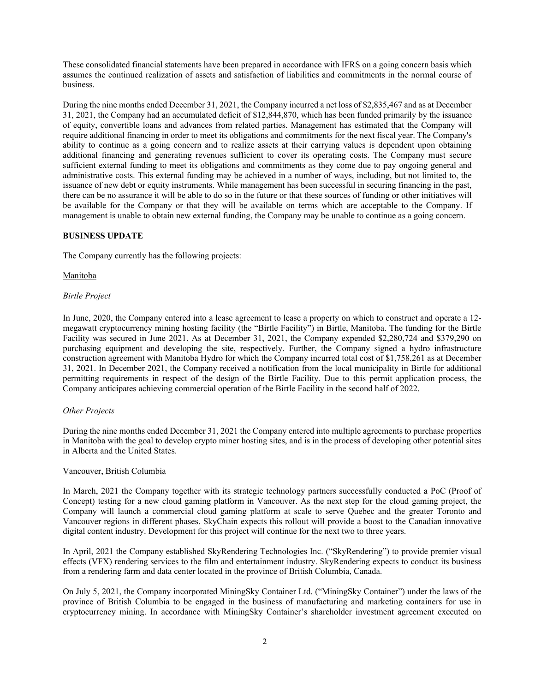These consolidated financial statements have been prepared in accordance with IFRS on a going concern basis which assumes the continued realization of assets and satisfaction of liabilities and commitments in the normal course of business.

During the nine months ended December 31, 2021, the Company incurred a net loss of \$2,835,467 and as at December 31, 2021, the Company had an accumulated deficit of \$12,844,870, which has been funded primarily by the issuance of equity, convertible loans and advances from related parties. Management has estimated that the Company will require additional financing in order to meet its obligations and commitments for the next fiscal year. The Company's ability to continue as a going concern and to realize assets at their carrying values is dependent upon obtaining additional financing and generating revenues sufficient to cover its operating costs. The Company must secure sufficient external funding to meet its obligations and commitments as they come due to pay ongoing general and administrative costs. This external funding may be achieved in a number of ways, including, but not limited to, the issuance of new debt or equity instruments. While management has been successful in securing financing in the past, there can be no assurance it will be able to do so in the future or that these sources of funding or other initiatives will be available for the Company or that they will be available on terms which are acceptable to the Company. If management is unable to obtain new external funding, the Company may be unable to continue as a going concern.

# **BUSINESS UPDATE**

The Company currently has the following projects:

Manitoba

## *Birtle Project*

In June, 2020, the Company entered into a lease agreement to lease a property on which to construct and operate a 12 megawatt cryptocurrency mining hosting facility (the "Birtle Facility") in Birtle, Manitoba. The funding for the Birtle Facility was secured in June 2021. As at December 31, 2021, the Company expended \$2,280,724 and \$379,290 on purchasing equipment and developing the site, respectively. Further, the Company signed a hydro infrastructure construction agreement with Manitoba Hydro for which the Company incurred total cost of \$1,758,261 as at December 31, 2021. In December 2021, the Company received a notification from the local municipality in Birtle for additional permitting requirements in respect of the design of the Birtle Facility. Due to this permit application process, the Company anticipates achieving commercial operation of the Birtle Facility in the second half of 2022.

### *Other Projects*

During the nine months ended December 31, 2021 the Company entered into multiple agreements to purchase properties in Manitoba with the goal to develop crypto miner hosting sites, and is in the process of developing other potential sites in Alberta and the United States.

### Vancouver, British Columbia

In March, 2021 the Company together with its strategic technology partners successfully conducted a PoC (Proof of Concept) testing for a new cloud gaming platform in Vancouver. As the next step for the cloud gaming project, the Company will launch a commercial cloud gaming platform at scale to serve Quebec and the greater Toronto and Vancouver regions in different phases. SkyChain expects this rollout will provide a boost to the Canadian innovative digital content industry. Development for this project will continue for the next two to three years.

In April, 2021 the Company established SkyRendering Technologies Inc. ("SkyRendering") to provide premier visual effects (VFX) rendering services to the film and entertainment industry. SkyRendering expects to conduct its business from a rendering farm and data center located in the province of British Columbia, Canada.

On July 5, 2021, the Company incorporated MiningSky Container Ltd. ("MiningSky Container") under the laws of the province of British Columbia to be engaged in the business of manufacturing and marketing containers for use in cryptocurrency mining. In accordance with MiningSky Container's shareholder investment agreement executed on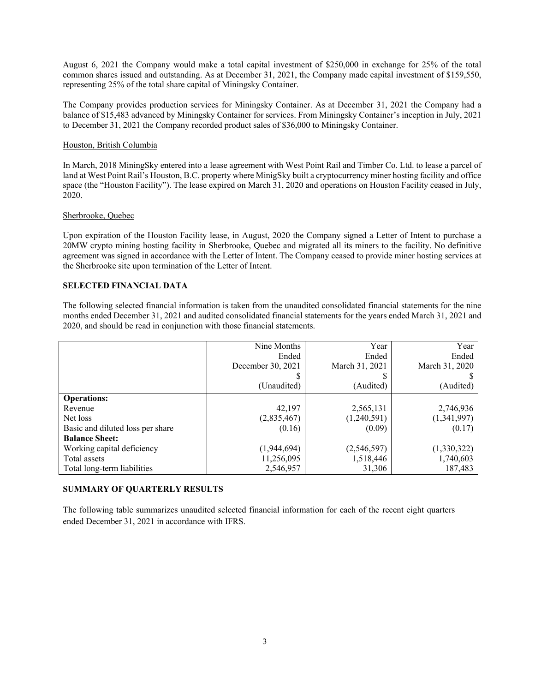August 6, 2021 the Company would make a total capital investment of \$250,000 in exchange for 25% of the total common shares issued and outstanding. As at December 31, 2021, the Company made capital investment of \$159,550, representing 25% of the total share capital of Miningsky Container.

The Company provides production services for Miningsky Container. As at December 31, 2021 the Company had a balance of \$15,483 advanced by Miningsky Container for services. From Miningsky Container's inception in July, 2021 to December 31, 2021 the Company recorded product sales of \$36,000 to Miningsky Container.

# Houston, British Columbia

In March, 2018 MiningSky entered into a lease agreement with West Point Rail and Timber Co. Ltd. to lease a parcel of land at West Point Rail's Houston, B.C. property where MinigSky built a cryptocurrency miner hosting facility and office space (the "Houston Facility"). The lease expired on March 31, 2020 and operations on Houston Facility ceased in July, 2020.

## Sherbrooke, Quebec

Upon expiration of the Houston Facility lease, in August, 2020 the Company signed a Letter of Intent to purchase a 20MW crypto mining hosting facility in Sherbrooke, Quebec and migrated all its miners to the facility. No definitive agreement was signed in accordance with the Letter of Intent. The Company ceased to provide miner hosting services at the Sherbrooke site upon termination of the Letter of Intent.

# **SELECTED FINANCIAL DATA**

The following selected financial information is taken from the unaudited consolidated financial statements for the nine months ended December 31, 2021 and audited consolidated financial statements for the years ended March 31, 2021 and 2020, and should be read in conjunction with those financial statements.

|                                  | Nine Months       | Year           | Year           |
|----------------------------------|-------------------|----------------|----------------|
|                                  | Ended             | Ended          | Ended          |
|                                  | December 30, 2021 | March 31, 2021 | March 31, 2020 |
|                                  | D                 | J.             |                |
|                                  | (Unaudited)       | (Audited)      | (Audited)      |
| <b>Operations:</b>               |                   |                |                |
| Revenue                          | 42,197            | 2,565,131      | 2,746,936      |
| Net loss                         | (2,835,467)       | (1,240,591)    | (1,341,997)    |
| Basic and diluted loss per share | (0.16)            | (0.09)         | (0.17)         |
| <b>Balance Sheet:</b>            |                   |                |                |
| Working capital deficiency       | (1,944,694)       | (2,546,597)    | (1,330,322)    |
| Total assets                     | 11,256,095        | 1,518,446      | 1,740,603      |
| Total long-term liabilities      | 2,546,957         | 31,306         | 187,483        |

# **SUMMARY OF QUARTERLY RESULTS**

The following table summarizes unaudited selected financial information for each of the recent eight quarters ended December 31, 2021 in accordance with IFRS.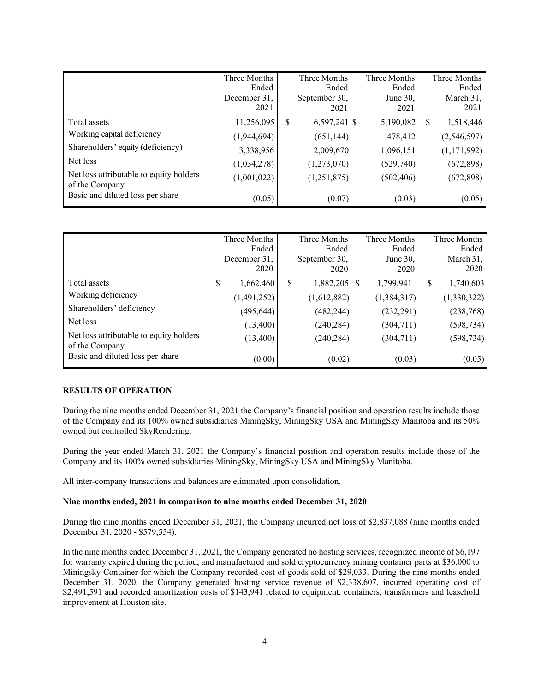|                                                           | Three Months<br>Ended |   | Three Months<br>Ended | Three Months<br>Ended |   | Three Months<br>Ended |
|-----------------------------------------------------------|-----------------------|---|-----------------------|-----------------------|---|-----------------------|
|                                                           | December 31,<br>2021  |   | September 30,<br>2021 | June $30$ ,<br>2021   |   | March 31,<br>2021     |
| Total assets                                              | 11,256,095            | S | 6,597,241 \$          | 5,190,082             | S | 1,518,446             |
| Working capital deficiency                                | (1,944,694)           |   | (651, 144)            | 478,412               |   | (2,546,597)           |
| Shareholders' equity (deficiency)                         | 3,338,956             |   | 2,009,670             | 1,096,151             |   | (1,171,992)           |
| Net loss                                                  | (1,034,278)           |   | (1,273,070)           | (529,740)             |   | (672,898)             |
| Net loss attributable to equity holders<br>of the Company | (1,001,022)           |   | (1,251,875)           | (502, 406)            |   | (672,898)             |
| Basic and diluted loss per share                          | (0.05)                |   | (0.07)                | (0.03)                |   | (0.05)                |

|                                                           | Three Months    | Three Months   | Three Months   | Three Months   |
|-----------------------------------------------------------|-----------------|----------------|----------------|----------------|
|                                                           | Ended           | Ended          | Ended          | Ended          |
|                                                           | December 31,    | September 30,  | June $30$ ,    | March 31,      |
|                                                           | 2020            | 2020           | 2020           | 2020           |
| Total assets                                              | \$<br>1,662,460 | 1,882,205<br>S | 1,799,941<br>S | 1,740,603<br>S |
| Working deficiency                                        | (1,491,252)     | (1,612,882)    | (1,384,317)    | (1,330,322)    |
| Shareholders' deficiency                                  | (495, 644)      | (482, 244)     | (232, 291)     | (238, 768)     |
| Net loss                                                  | (13,400)        | (240, 284)     | (304, 711)     | (598, 734)     |
| Net loss attributable to equity holders<br>of the Company | (13,400)        | (240, 284)     | (304, 711)     | (598, 734)     |
| Basic and diluted loss per share                          | (0.00)          | (0.02)         | (0.03)         | (0.05)         |

## **RESULTS OF OPERATION**

During the nine months ended December 31, 2021 the Company's financial position and operation results include those of the Company and its 100% owned subsidiaries MiningSky, MiningSky USA and MiningSky Manitoba and its 50% owned but controlled SkyRendering.

During the year ended March 31, 2021 the Company's financial position and operation results include those of the Company and its 100% owned subsidiaries MiningSky, MiningSky USA and MiningSky Manitoba.

All inter-company transactions and balances are eliminated upon consolidation.

# **Nine months ended, 2021 in comparison to nine months ended December 31, 2020**

During the nine months ended December 31, 2021, the Company incurred net loss of \$2,837,088 (nine months ended December 31, 2020 - \$579,554).

In the nine months ended December 31, 2021, the Company generated no hosting services, recognized income of \$6,197 for warranty expired during the period, and manufactured and sold cryptocurrency mining container parts at \$36,000 to Miningsky Container for which the Company recorded cost of goods sold of \$29,033. During the nine months ended December 31, 2020, the Company generated hosting service revenue of \$2,338,607, incurred operating cost of \$2,491,591 and recorded amortization costs of \$143,941 related to equipment, containers, transformers and leasehold improvement at Houston site.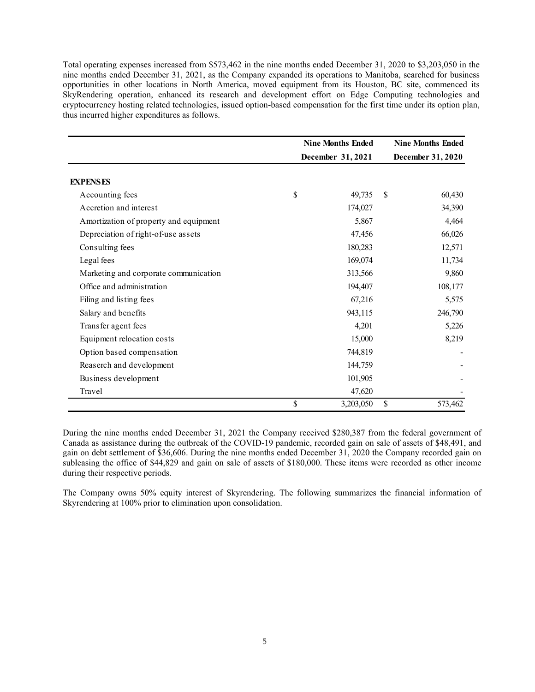Total operating expenses increased from \$573,462 in the nine months ended December 31, 2020 to \$3,203,050 in the nine months ended December 31, 2021, as the Company expanded its operations to Manitoba, searched for business opportunities in other locations in North America, moved equipment from its Houston, BC site, commenced its SkyRendering operation, enhanced its research and development effort on Edge Computing technologies and cryptocurrency hosting related technologies, issued option-based compensation for the first time under its option plan, thus incurred higher expenditures as follows.

|                                        | <b>Nine Months Ended</b> |                   |    | <b>Nine Months Ended</b> |
|----------------------------------------|--------------------------|-------------------|----|--------------------------|
|                                        |                          | December 31, 2021 |    | December 31, 2020        |
|                                        |                          |                   |    |                          |
| <b>EXPENSES</b>                        |                          |                   |    |                          |
| Accounting fees                        | \$                       | 49,735            | \$ | 60,430                   |
| Accretion and interest                 |                          | 174,027           |    | 34,390                   |
| Amortization of property and equipment |                          | 5,867             |    | 4,464                    |
| Depreciation of right-of-use assets    |                          | 47,456            |    | 66,026                   |
| Consulting fees                        |                          | 180,283           |    | 12,571                   |
| Legal fees                             |                          | 169,074           |    | 11,734                   |
| Marketing and corporate communication  |                          | 313,566           |    | 9,860                    |
| Office and administration              |                          | 194,407           |    | 108,177                  |
| Filing and listing fees                |                          | 67,216            |    | 5,575                    |
| Salary and benefits                    |                          | 943,115           |    | 246,790                  |
| Transfer agent fees                    |                          | 4,201             |    | 5,226                    |
| Equipment relocation costs             |                          | 15,000            |    | 8,219                    |
| Option based compensation              |                          | 744,819           |    |                          |
| Reaserch and development               |                          | 144,759           |    |                          |
| Business development                   |                          | 101,905           |    |                          |
| Travel                                 |                          | 47,620            |    |                          |
|                                        | \$                       | 3,203,050         | \$ | 573,462                  |

During the nine months ended December 31, 2021 the Company received \$280,387 from the federal government of Canada as assistance during the outbreak of the COVID-19 pandemic, recorded gain on sale of assets of \$48,491, and gain on debt settlement of \$36,606. During the nine months ended December 31, 2020 the Company recorded gain on subleasing the office of \$44,829 and gain on sale of assets of \$180,000. These items were recorded as other income during their respective periods.

The Company owns 50% equity interest of Skyrendering. The following summarizes the financial information of Skyrendering at 100% prior to elimination upon consolidation.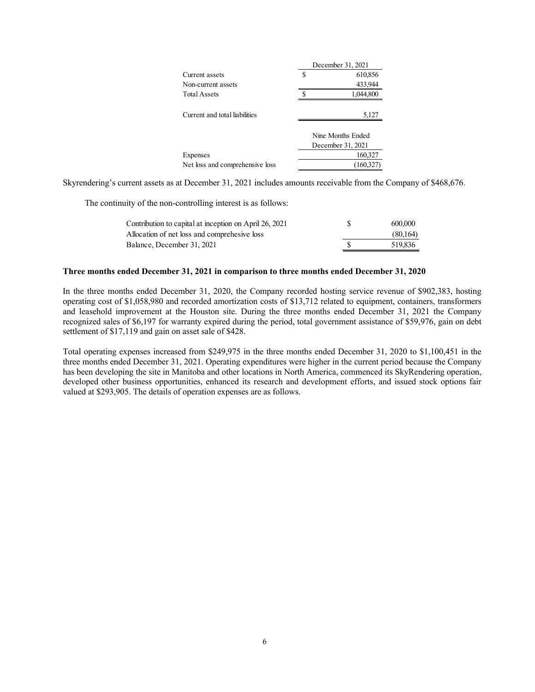|                                 |   | December 31, 2021 |
|---------------------------------|---|-------------------|
| Current assets                  | S | 610,856           |
| Non-current assets              |   | 433,944           |
| <b>Total Assets</b>             |   | 1,044,800         |
|                                 |   |                   |
| Current and total liabilities   |   | 5,127             |
|                                 |   |                   |
|                                 |   | Nine Months Ended |
|                                 |   | December 31, 2021 |
| Expenses                        |   | 160,327           |
| Net loss and comprehensive loss |   | (160,327)         |

Skyrendering's current assets as at December 31, 2021 includes amounts receivable from the Company of \$468,676.

The continuity of the non-controlling interest is as follows:

| 600,000  |
|----------|
| (80,164) |
| 519.836  |
|          |

#### **Three months ended December 31, 2021 in comparison to three months ended December 31, 2020**

In the three months ended December 31, 2020, the Company recorded hosting service revenue of \$902,383, hosting operating cost of \$1,058,980 and recorded amortization costs of \$13,712 related to equipment, containers, transformers and leasehold improvement at the Houston site. During the three months ended December 31, 2021 the Company recognized sales of \$6,197 for warranty expired during the period, total government assistance of \$59,976, gain on debt settlement of \$17,119 and gain on asset sale of \$428.

Total operating expenses increased from \$249,975 in the three months ended December 31, 2020 to \$1,100,451 in the three months ended December 31, 2021. Operating expenditures were higher in the current period because the Company has been developing the site in Manitoba and other locations in North America, commenced its SkyRendering operation, developed other business opportunities, enhanced its research and development efforts, and issued stock options fair valued at \$293,905. The details of operation expenses are as follows.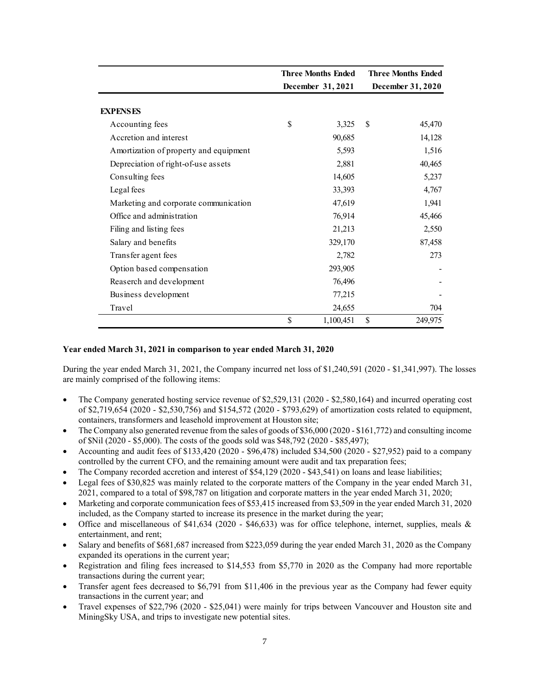|                                        |    | <b>Three Months Ended</b><br>December 31, 2021 |    | <b>Three Months Ended</b> |
|----------------------------------------|----|------------------------------------------------|----|---------------------------|
|                                        |    |                                                |    | December 31, 2020         |
| <b>EXPENSES</b>                        |    |                                                |    |                           |
| Accounting fees                        | \$ | 3,325                                          | \$ | 45,470                    |
| Accretion and interest                 |    | 90,685                                         |    | 14,128                    |
| Amortization of property and equipment |    | 5,593                                          |    | 1,516                     |
| Depreciation of right-of-use assets    |    | 2,881                                          |    | 40,465                    |
| Consulting fees                        |    | 14,605                                         |    | 5,237                     |
| Legal fees                             |    | 33,393                                         |    | 4,767                     |
| Marketing and corporate communication  |    | 47,619                                         |    | 1,941                     |
| Office and administration              |    | 76,914                                         |    | 45,466                    |
| Filing and listing fees                |    | 21,213                                         |    | 2,550                     |
| Salary and benefits                    |    | 329,170                                        |    | 87,458                    |
| Transfer agent fees                    |    | 2,782                                          |    | 273                       |
| Option based compensation              |    | 293,905                                        |    |                           |
| Reaserch and development               |    | 76,496                                         |    |                           |
| Business development                   |    | 77,215                                         |    |                           |
| Travel                                 |    | 24,655                                         |    | 704                       |
|                                        | \$ | 1,100,451                                      | \$ | 249,975                   |

### **Year ended March 31, 2021 in comparison to year ended March 31, 2020**

During the year ended March 31, 2021, the Company incurred net loss of \$1,240,591 (2020 - \$1,341,997). The losses are mainly comprised of the following items:

- The Company generated hosting service revenue of \$2,529,131 (2020 \$2,580,164) and incurred operating cost of \$2,719,654 (2020 - \$2,530,756) and \$154,572 (2020 - \$793,629) of amortization costs related to equipment, containers, transformers and leasehold improvement at Houston site;
- The Company also generated revenue from the sales of goods of \$36,000 (2020 \$161,772) and consulting income of \$Nil (2020 - \$5,000). The costs of the goods sold was \$48,792 (2020 - \$85,497);
- Accounting and audit fees of \$133,420 (2020 \$96,478) included \$34,500 (2020 \$27,952) paid to a company controlled by the current CFO, and the remaining amount were audit and tax preparation fees;
- The Company recorded accretion and interest of \$54,129 (2020 \$43,541) on loans and lease liabilities;
- Legal fees of \$30,825 was mainly related to the corporate matters of the Company in the year ended March 31, 2021, compared to a total of \$98,787 on litigation and corporate matters in the year ended March 31, 2020;
- Marketing and corporate communication fees of \$53,415 increased from \$3,509 in the year ended March 31, 2020 included, as the Company started to increase its presence in the market during the year;
- Office and miscellaneous of  $$41,634$  (2020  $$46,633$ ) was for office telephone, internet, supplies, meals & entertainment, and rent;
- Salary and benefits of \$681,687 increased from \$223,059 during the year ended March 31, 2020 as the Company expanded its operations in the current year;
- Registration and filing fees increased to \$14,553 from \$5,770 in 2020 as the Company had more reportable transactions during the current year;
- Transfer agent fees decreased to \$6,791 from \$11,406 in the previous year as the Company had fewer equity transactions in the current year; and
- Travel expenses of \$22,796 (2020 \$25,041) were mainly for trips between Vancouver and Houston site and MiningSky USA, and trips to investigate new potential sites.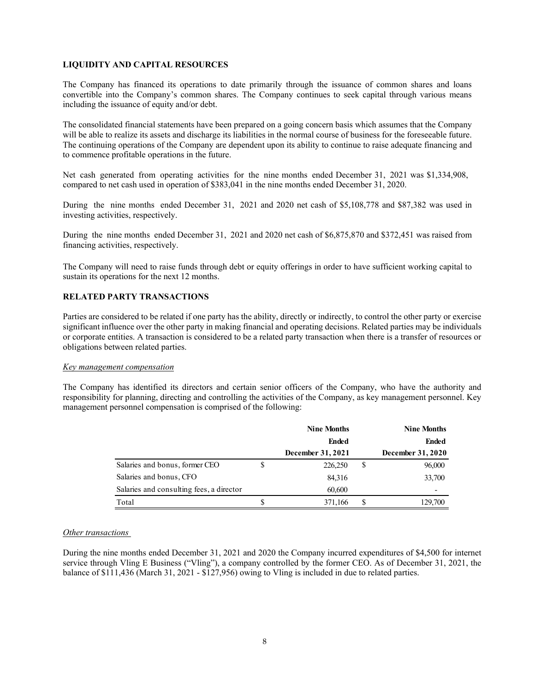# **LIQUIDITY AND CAPITAL RESOURCES**

The Company has financed its operations to date primarily through the issuance of common shares and loans convertible into the Company's common shares. The Company continues to seek capital through various means including the issuance of equity and/or debt.

The consolidated financial statements have been prepared on a going concern basis which assumes that the Company will be able to realize its assets and discharge its liabilities in the normal course of business for the foreseeable future. The continuing operations of the Company are dependent upon its ability to continue to raise adequate financing and to commence profitable operations in the future.

Net cash generated from operating activities for the nine months ended December 31, 2021 was \$1,334,908, compared to net cash used in operation of \$383,041 in the nine months ended December 31, 2020.

During the nine months ended December 31, 2021 and 2020 net cash of \$5,108,778 and \$87,382 was used in investing activities, respectively.

During the nine months ended December 31, 2021 and 2020 net cash of \$6,875,870 and \$372,451 was raised from financing activities, respectively.

The Company will need to raise funds through debt or equity offerings in order to have sufficient working capital to sustain its operations for the next 12 months.

## **RELATED PARTY TRANSACTIONS**

Parties are considered to be related if one party has the ability, directly or indirectly, to control the other party or exercise significant influence over the other party in making financial and operating decisions. Related parties may be individuals or corporate entities. A transaction is considered to be a related party transaction when there is a transfer of resources or obligations between related parties.

#### *Key management compensation*

The Company has identified its directors and certain senior officers of the Company, who have the authority and responsibility for planning, directing and controlling the activities of the Company, as key management personnel. Key management personnel compensation is comprised of the following:

|                                          | <b>Nine Months</b> |   | <b>Nine Months</b> |
|------------------------------------------|--------------------|---|--------------------|
|                                          | <b>Ended</b>       |   | <b>Ended</b>       |
|                                          | December 31, 2021  |   | December 31, 2020  |
| Salaries and bonus, former CEO           | 226,250            | S | 96,000             |
| Salaries and bonus, CFO                  | 84,316             |   | 33,700             |
| Salaries and consulting fees, a director | 60,600             |   |                    |
| Total                                    | 371,166            |   | 129,700            |

#### *Other transactions*

During the nine months ended December 31, 2021 and 2020 the Company incurred expenditures of \$4,500 for internet service through Vling E Business ("Vling"), a company controlled by the former CEO. As of December 31, 2021, the balance of \$111,436 (March 31, 2021 - \$127,956) owing to Vling is included in due to related parties.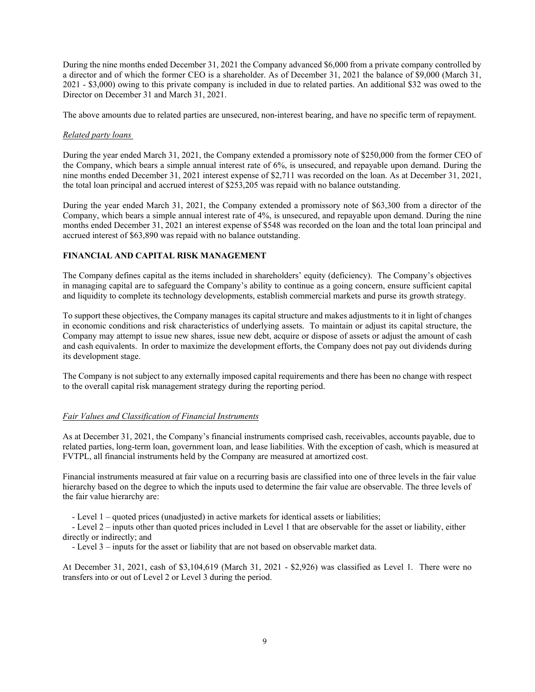During the nine months ended December 31, 2021 the Company advanced \$6,000 from a private company controlled by a director and of which the former CEO is a shareholder. As of December 31, 2021 the balance of \$9,000 (March 31, 2021 - \$3,000) owing to this private company is included in due to related parties. An additional \$32 was owed to the Director on December 31 and March 31, 2021.

The above amounts due to related parties are unsecured, non-interest bearing, and have no specific term of repayment.

## *Related party loans*

During the year ended March 31, 2021, the Company extended a promissory note of \$250,000 from the former CEO of the Company, which bears a simple annual interest rate of 6%, is unsecured, and repayable upon demand. During the nine months ended December 31, 2021 interest expense of \$2,711 was recorded on the loan. As at December 31, 2021, the total loan principal and accrued interest of \$253,205 was repaid with no balance outstanding.

During the year ended March 31, 2021, the Company extended a promissory note of \$63,300 from a director of the Company, which bears a simple annual interest rate of 4%, is unsecured, and repayable upon demand. During the nine months ended December 31, 2021 an interest expense of \$548 was recorded on the loan and the total loan principal and accrued interest of \$63,890 was repaid with no balance outstanding.

# **FINANCIAL AND CAPITAL RISK MANAGEMENT**

The Company defines capital as the items included in shareholders' equity (deficiency). The Company's objectives in managing capital are to safeguard the Company's ability to continue as a going concern, ensure sufficient capital and liquidity to complete its technology developments, establish commercial markets and purse its growth strategy.

 To support these objectives, the Company manages its capital structure and makes adjustments to it in light of changes in economic conditions and risk characteristics of underlying assets. To maintain or adjust its capital structure, the Company may attempt to issue new shares, issue new debt, acquire or dispose of assets or adjust the amount of cash and cash equivalents. In order to maximize the development efforts, the Company does not pay out dividends during its development stage.

The Company is not subject to any externally imposed capital requirements and there has been no change with respect to the overall capital risk management strategy during the reporting period.

# *Fair Values and Classification of Financial Instruments*

As at December 31, 2021, the Company's financial instruments comprised cash, receivables, accounts payable, due to related parties, long-term loan, government loan, and lease liabilities. With the exception of cash, which is measured at FVTPL, all financial instruments held by the Company are measured at amortized cost.

Financial instruments measured at fair value on a recurring basis are classified into one of three levels in the fair value hierarchy based on the degree to which the inputs used to determine the fair value are observable. The three levels of the fair value hierarchy are:

- Level 1 – quoted prices (unadjusted) in active markets for identical assets or liabilities;

- Level 2 – inputs other than quoted prices included in Level 1 that are observable for the asset or liability, either directly or indirectly; and

- Level 3 – inputs for the asset or liability that are not based on observable market data.

At December 31, 2021, cash of \$3,104,619 (March 31, 2021 - \$2,926) was classified as Level 1. There were no transfers into or out of Level 2 or Level 3 during the period.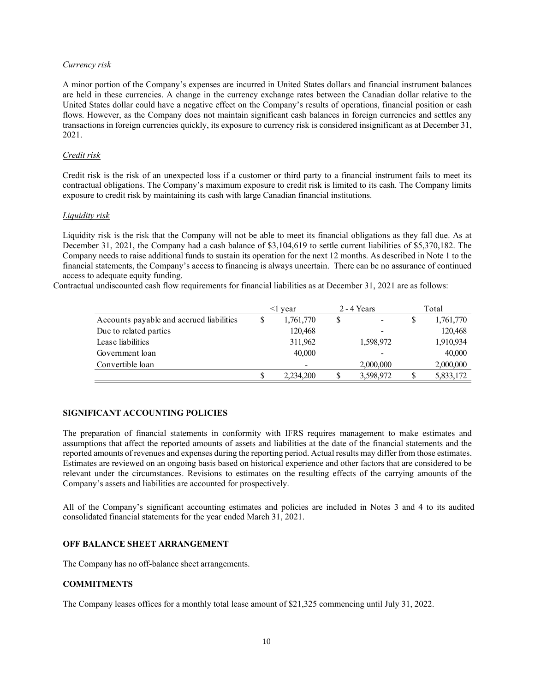## *Currency risk*

A minor portion of the Company's expenses are incurred in United States dollars and financial instrument balances are held in these currencies. A change in the currency exchange rates between the Canadian dollar relative to the United States dollar could have a negative effect on the Company's results of operations, financial position or cash flows. However, as the Company does not maintain significant cash balances in foreign currencies and settles any transactions in foreign currencies quickly, its exposure to currency risk is considered insignificant as at December 31, 2021.

## *Credit risk*

Credit risk is the risk of an unexpected loss if a customer or third party to a financial instrument fails to meet its contractual obligations. The Company's maximum exposure to credit risk is limited to its cash. The Company limits exposure to credit risk by maintaining its cash with large Canadian financial institutions.

## *Liquidity risk*

Liquidity risk is the risk that the Company will not be able to meet its financial obligations as they fall due. As at December 31, 2021, the Company had a cash balance of \$3,104,619 to settle current liabilities of \$5,370,182. The Company needs to raise additional funds to sustain its operation for the next 12 months. As described in Note 1 to the financial statements, the Company's access to financing is always uncertain. There can be no assurance of continued access to adequate equity funding.

Contractual undiscounted cash flow requirements for financial liabilities as at December 31, 2021 are as follows:

|                                          | vear      |    | $2 - 4$ Years |   | Total     |
|------------------------------------------|-----------|----|---------------|---|-----------|
| Accounts payable and accrued liabilities | 1,761,770 | \$ |               | S | 1,761,770 |
| Due to related parties                   | 120,468   |    |               |   | 120,468   |
| Lease liabilities                        | 311,962   |    | 1,598,972     |   | 1,910,934 |
| Government loan                          | 40,000    |    |               |   | 40,000    |
| Convertible loan                         |           |    | 2,000,000     |   | 2,000,000 |
|                                          | 2.234,200 | S  | 3,598,972     |   | 5,833,172 |

# **SIGNIFICANT ACCOUNTING POLICIES**

The preparation of financial statements in conformity with IFRS requires management to make estimates and assumptions that affect the reported amounts of assets and liabilities at the date of the financial statements and the reported amounts of revenues and expenses during the reporting period. Actual results may differ from those estimates. Estimates are reviewed on an ongoing basis based on historical experience and other factors that are considered to be relevant under the circumstances. Revisions to estimates on the resulting effects of the carrying amounts of the Company's assets and liabilities are accounted for prospectively.

All of the Company's significant accounting estimates and policies are included in Notes 3 and 4 to its audited consolidated financial statements for the year ended March 31, 2021.

# **OFF BALANCE SHEET ARRANGEMENT**

The Company has no off-balance sheet arrangements.

# **COMMITMENTS**

The Company leases offices for a monthly total lease amount of \$21,325 commencing until July 31, 2022.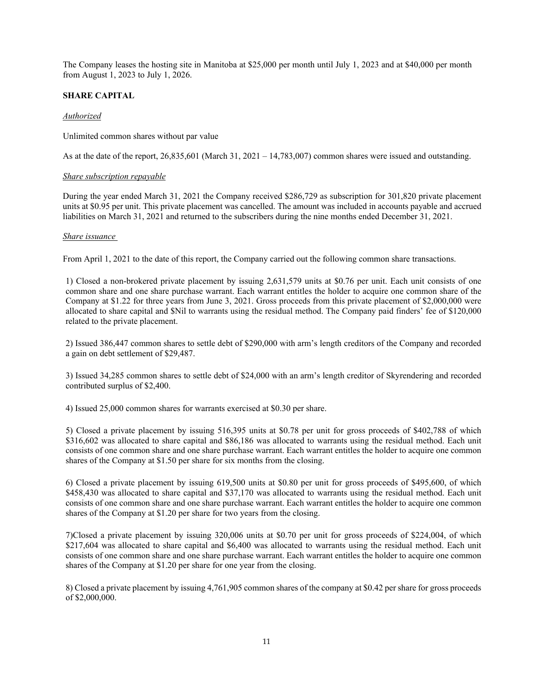The Company leases the hosting site in Manitoba at \$25,000 per month until July 1, 2023 and at \$40,000 per month from August 1, 2023 to July 1, 2026.

# **SHARE CAPITAL**

## *Authorized*

Unlimited common shares without par value

As at the date of the report,  $26,835,601$  (March 31,  $2021 - 14,783,007$ ) common shares were issued and outstanding.

### *Share subscription repayable*

During the year ended March 31, 2021 the Company received \$286,729 as subscription for 301,820 private placement units at \$0.95 per unit. This private placement was cancelled. The amount was included in accounts payable and accrued liabilities on March 31, 2021 and returned to the subscribers during the nine months ended December 31, 2021.

## *Share issuance*

From April 1, 2021 to the date of this report, the Company carried out the following common share transactions.

1) Closed a non-brokered private placement by issuing 2,631,579 units at \$0.76 per unit. Each unit consists of one common share and one share purchase warrant. Each warrant entitles the holder to acquire one common share of the Company at \$1.22 for three years from June 3, 2021. Gross proceeds from this private placement of \$2,000,000 were allocated to share capital and \$Nil to warrants using the residual method. The Company paid finders' fee of \$120,000 related to the private placement.

2) Issued 386,447 common shares to settle debt of \$290,000 with arm's length creditors of the Company and recorded a gain on debt settlement of \$29,487.

3) Issued 34,285 common shares to settle debt of \$24,000 with an arm's length creditor of Skyrendering and recorded contributed surplus of \$2,400.

4) Issued 25,000 common shares for warrants exercised at \$0.30 per share.

5) Closed a private placement by issuing 516,395 units at \$0.78 per unit for gross proceeds of \$402,788 of which \$316,602 was allocated to share capital and \$86,186 was allocated to warrants using the residual method. Each unit consists of one common share and one share purchase warrant. Each warrant entitles the holder to acquire one common shares of the Company at \$1.50 per share for six months from the closing.

6) Closed a private placement by issuing 619,500 units at \$0.80 per unit for gross proceeds of \$495,600, of which \$458,430 was allocated to share capital and \$37,170 was allocated to warrants using the residual method. Each unit consists of one common share and one share purchase warrant. Each warrant entitles the holder to acquire one common shares of the Company at \$1.20 per share for two years from the closing.

7)Closed a private placement by issuing 320,006 units at \$0.70 per unit for gross proceeds of \$224,004, of which \$217,604 was allocated to share capital and \$6,400 was allocated to warrants using the residual method. Each unit consists of one common share and one share purchase warrant. Each warrant entitles the holder to acquire one common shares of the Company at \$1.20 per share for one year from the closing.

8) Closed a private placement by issuing 4,761,905 common shares of the company at \$0.42 per share for gross proceeds of \$2,000,000.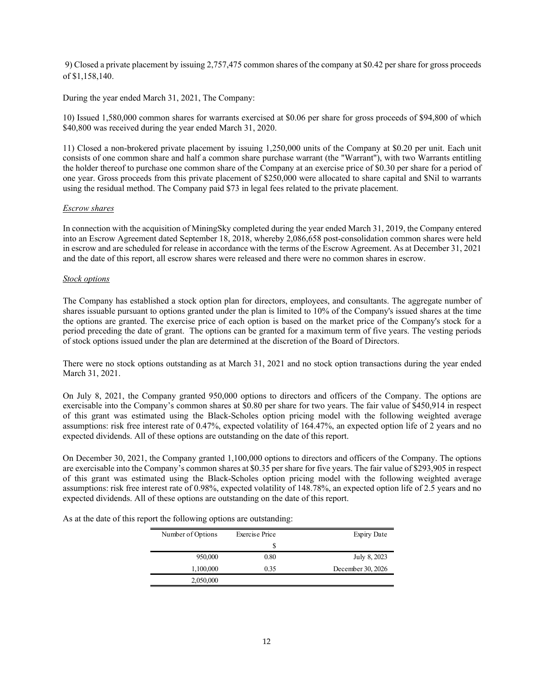9) Closed a private placement by issuing 2,757,475 common shares of the company at \$0.42 per share for gross proceeds of \$1,158,140.

During the year ended March 31, 2021, The Company:

10) Issued 1,580,000 common shares for warrants exercised at \$0.06 per share for gross proceeds of \$94,800 of which \$40,800 was received during the year ended March 31, 2020.

11) Closed a non-brokered private placement by issuing 1,250,000 units of the Company at \$0.20 per unit. Each unit consists of one common share and half a common share purchase warrant (the "Warrant"), with two Warrants entitling the holder thereof to purchase one common share of the Company at an exercise price of \$0.30 per share for a period of one year. Gross proceeds from this private placement of \$250,000 were allocated to share capital and \$Nil to warrants using the residual method. The Company paid \$73 in legal fees related to the private placement.

### *Escrow shares*

In connection with the acquisition of MiningSky completed during the year ended March 31, 2019, the Company entered into an Escrow Agreement dated September 18, 2018, whereby 2,086,658 post-consolidation common shares were held in escrow and are scheduled for release in accordance with the terms of the Escrow Agreement. As at December 31, 2021 and the date of this report, all escrow shares were released and there were no common shares in escrow.

## *Stock options*

The Company has established a stock option plan for directors, employees, and consultants. The aggregate number of shares issuable pursuant to options granted under the plan is limited to 10% of the Company's issued shares at the time the options are granted. The exercise price of each option is based on the market price of the Company's stock for a period preceding the date of grant. The options can be granted for a maximum term of five years. The vesting periods of stock options issued under the plan are determined at the discretion of the Board of Directors.

There were no stock options outstanding as at March 31, 2021 and no stock option transactions during the year ended March 31, 2021.

On July 8, 2021, the Company granted 950,000 options to directors and officers of the Company. The options are exercisable into the Company's common shares at \$0.80 per share for two years. The fair value of \$450,914 in respect of this grant was estimated using the Black-Scholes option pricing model with the following weighted average assumptions: risk free interest rate of 0.47%, expected volatility of 164.47%, an expected option life of 2 years and no expected dividends. All of these options are outstanding on the date of this report.

On December 30, 2021, the Company granted 1,100,000 options to directors and officers of the Company. The options are exercisable into the Company's common shares at \$0.35 per share for five years. The fair value of \$293,905 in respect of this grant was estimated using the Black-Scholes option pricing model with the following weighted average assumptions: risk free interest rate of 0.98%, expected volatility of 148.78%, an expected option life of 2.5 years and no expected dividends. All of these options are outstanding on the date of this report.

| Expiry Date       | <b>Exercise Price</b> | Number of Options |
|-------------------|-----------------------|-------------------|
|                   | S                     |                   |
| July 8, 2023      | 0.80                  | 950,000           |
| December 30, 2026 | 0.35                  | 1,100,000         |
|                   |                       | 2,050,000         |

As at the date of this report the following options are outstanding: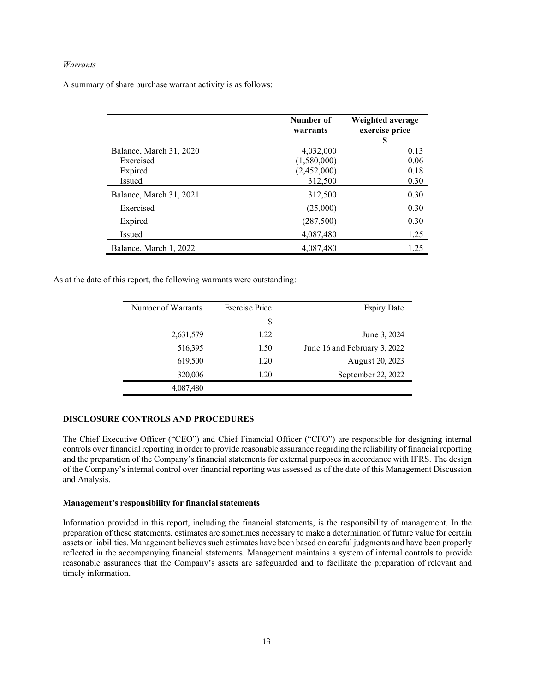# *Warrants*

A summary of share purchase warrant activity is as follows:

|                         | Number of<br>warrants | Weighted average<br>exercise price<br>S |
|-------------------------|-----------------------|-----------------------------------------|
| Balance, March 31, 2020 | 4,032,000             | 0.13                                    |
| Exercised               | (1,580,000)           | 0.06                                    |
| Expired                 | (2,452,000)           | 0.18                                    |
| <b>Issued</b>           | 312,500               | 0.30                                    |
| Balance, March 31, 2021 | 312,500               | 0.30                                    |
| Exercised               | (25,000)              | 0.30                                    |
| Expired                 | (287,500)             | 0.30                                    |
| Issued                  | 4,087,480             | 1.25                                    |
| Balance, March 1, 2022  | 4.087.480             | 1.25                                    |

As at the date of this report, the following warrants were outstanding:

| Exercise Price | Expiry Date                  |
|----------------|------------------------------|
| \$             |                              |
| 1.22           | June 3, 2024                 |
| 1.50           | June 16 and February 3, 2022 |
| 1.20           | August 20, 2023              |
| 1.20           | September 22, 2022           |
|                |                              |
|                |                              |

# **DISCLOSURE CONTROLS AND PROCEDURES**

The Chief Executive Officer ("CEO") and Chief Financial Officer ("CFO") are responsible for designing internal controls over financial reporting in order to provide reasonable assurance regarding the reliability of financial reporting and the preparation of the Company's financial statements for external purposes in accordance with IFRS. The design of the Company's internal control over financial reporting was assessed as of the date of this Management Discussion and Analysis.

#### **Management's responsibility for financial statements**

Information provided in this report, including the financial statements, is the responsibility of management. In the preparation of these statements, estimates are sometimes necessary to make a determination of future value for certain assets or liabilities. Management believes such estimates have been based on careful judgments and have been properly reflected in the accompanying financial statements. Management maintains a system of internal controls to provide reasonable assurances that the Company's assets are safeguarded and to facilitate the preparation of relevant and timely information.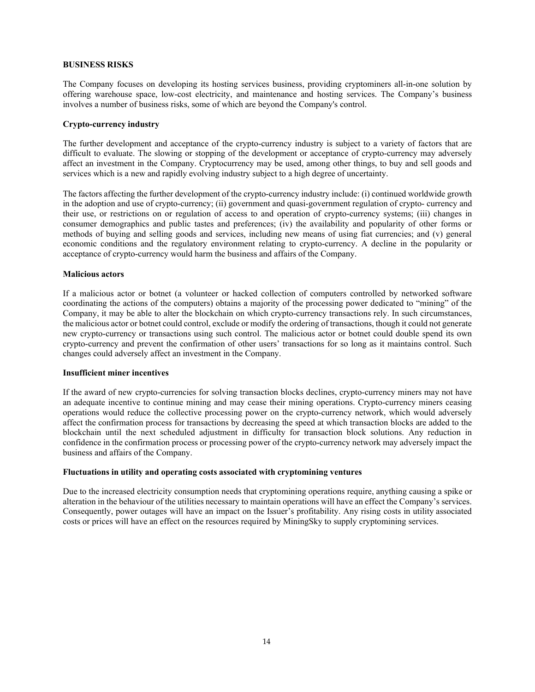## **BUSINESS RISKS**

The Company focuses on developing its hosting services business, providing cryptominers all-in-one solution by offering warehouse space, low-cost electricity, and maintenance and hosting services. The Company's business involves a number of business risks, some of which are beyond the Company's control.

## **Crypto-currency industry**

The further development and acceptance of the crypto-currency industry is subject to a variety of factors that are difficult to evaluate. The slowing or stopping of the development or acceptance of crypto-currency may adversely affect an investment in the Company. Cryptocurrency may be used, among other things, to buy and sell goods and services which is a new and rapidly evolving industry subject to a high degree of uncertainty.

The factors affecting the further development of the crypto-currency industry include: (i) continued worldwide growth in the adoption and use of crypto-currency; (ii) government and quasi-government regulation of crypto- currency and their use, or restrictions on or regulation of access to and operation of crypto-currency systems; (iii) changes in consumer demographics and public tastes and preferences; (iv) the availability and popularity of other forms or methods of buying and selling goods and services, including new means of using fiat currencies; and (v) general economic conditions and the regulatory environment relating to crypto-currency. A decline in the popularity or acceptance of crypto-currency would harm the business and affairs of the Company.

## **Malicious actors**

If a malicious actor or botnet (a volunteer or hacked collection of computers controlled by networked software coordinating the actions of the computers) obtains a majority of the processing power dedicated to "mining" of the Company, it may be able to alter the blockchain on which crypto-currency transactions rely. In such circumstances, the malicious actor or botnet could control, exclude or modify the ordering of transactions, though it could not generate new crypto-currency or transactions using such control. The malicious actor or botnet could double spend its own crypto-currency and prevent the confirmation of other users' transactions for so long as it maintains control. Such changes could adversely affect an investment in the Company.

### **Insufficient miner incentives**

If the award of new crypto-currencies for solving transaction blocks declines, crypto-currency miners may not have an adequate incentive to continue mining and may cease their mining operations. Crypto-currency miners ceasing operations would reduce the collective processing power on the crypto-currency network, which would adversely affect the confirmation process for transactions by decreasing the speed at which transaction blocks are added to the blockchain until the next scheduled adjustment in difficulty for transaction block solutions. Any reduction in confidence in the confirmation process or processing power of the crypto-currency network may adversely impact the business and affairs of the Company.

### **Fluctuations in utility and operating costs associated with cryptomining ventures**

Due to the increased electricity consumption needs that cryptomining operations require, anything causing a spike or alteration in the behaviour of the utilities necessary to maintain operations will have an effect the Company's services. Consequently, power outages will have an impact on the Issuer's profitability. Any rising costs in utility associated costs or prices will have an effect on the resources required by MiningSky to supply cryptomining services.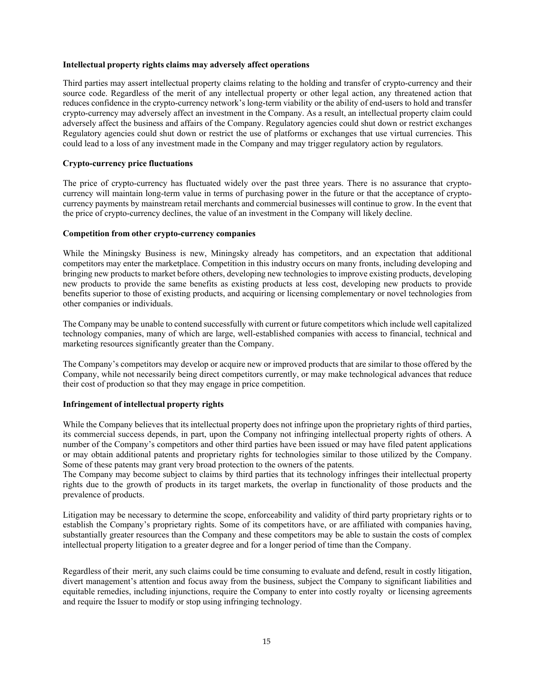### **Intellectual property rights claims may adversely affect operations**

Third parties may assert intellectual property claims relating to the holding and transfer of crypto-currency and their source code. Regardless of the merit of any intellectual property or other legal action, any threatened action that reduces confidence in the crypto-currency network's long-term viability or the ability of end-users to hold and transfer crypto-currency may adversely affect an investment in the Company. As a result, an intellectual property claim could adversely affect the business and affairs of the Company. Regulatory agencies could shut down or restrict exchanges Regulatory agencies could shut down or restrict the use of platforms or exchanges that use virtual currencies. This could lead to a loss of any investment made in the Company and may trigger regulatory action by regulators.

# **Crypto-currency price fluctuations**

The price of crypto-currency has fluctuated widely over the past three years. There is no assurance that cryptocurrency will maintain long-term value in terms of purchasing power in the future or that the acceptance of cryptocurrency payments by mainstream retail merchants and commercial businesses will continue to grow. In the event that the price of crypto-currency declines, the value of an investment in the Company will likely decline.

### **Competition from other crypto-currency companies**

While the Miningsky Business is new, Miningsky already has competitors, and an expectation that additional competitors may enter the marketplace. Competition in this industry occurs on many fronts, including developing and bringing new products to market before others, developing new technologies to improve existing products, developing new products to provide the same benefits as existing products at less cost, developing new products to provide benefits superior to those of existing products, and acquiring or licensing complementary or novel technologies from other companies or individuals.

The Company may be unable to contend successfully with current or future competitors which include well capitalized technology companies, many of which are large, well-established companies with access to financial, technical and marketing resources significantly greater than the Company.

The Company's competitors may develop or acquire new or improved products that are similar to those offered by the Company, while not necessarily being direct competitors currently, or may make technological advances that reduce their cost of production so that they may engage in price competition.

### **Infringement of intellectual property rights**

While the Company believes that its intellectual property does not infringe upon the proprietary rights of third parties, its commercial success depends, in part, upon the Company not infringing intellectual property rights of others. A number of the Company's competitors and other third parties have been issued or may have filed patent applications or may obtain additional patents and proprietary rights for technologies similar to those utilized by the Company. Some of these patents may grant very broad protection to the owners of the patents.

The Company may become subject to claims by third parties that its technology infringes their intellectual property rights due to the growth of products in its target markets, the overlap in functionality of those products and the prevalence of products.

Litigation may be necessary to determine the scope, enforceability and validity of third party proprietary rights or to establish the Company's proprietary rights. Some of its competitors have, or are affiliated with companies having, substantially greater resources than the Company and these competitors may be able to sustain the costs of complex intellectual property litigation to a greater degree and for a longer period of time than the Company.

Regardless of their merit, any such claims could be time consuming to evaluate and defend, result in costly litigation, divert management's attention and focus away from the business, subject the Company to significant liabilities and equitable remedies, including injunctions, require the Company to enter into costly royalty or licensing agreements and require the Issuer to modify or stop using infringing technology.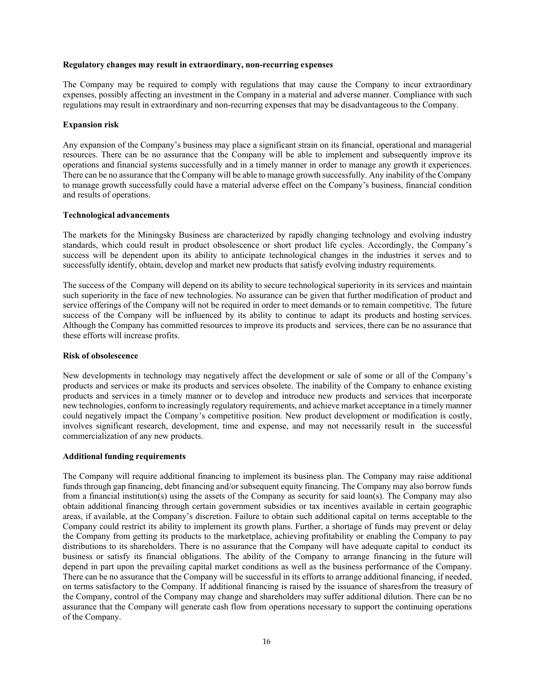#### **Regulatory changes may result in extraordinary, non-recurring expenses**

The Company may be required to comply with regulations that may cause the Company to incur extraordinary expenses, possibly affecting an investment in the Company in a material and adverse manner. Compliance with such regulations may result in extraordinary and non-recurring expenses that may be disadvantageous to the Company.

### **Expansion risk**

Any expansion of the Company's business may place a significant strain on its financial, operational and managerial resources. There can be no assurance that the Company will be able to implement and subsequently improve its operations and financial systems successfully and in a timely manner in order to manage any growth it experiences. There can be no assurance that the Company will be able to manage growth successfully. Any inability of the Company to manage growth successfully could have a material adverse effect on the Company's business, financial condition and results of operations.

### **Technological advancements**

The markets for the Miningsky Business are characterized by rapidly changing technology and evolving industry standards, which could result in product obsolescence or short product life cycles. Accordingly, the Company's success will be dependent upon its ability to anticipate technological changes in the industries it serves and to successfully identify, obtain, develop and market new products that satisfy evolving industry requirements.

The success of the Company will depend on its ability to secure technological superiority in its services and maintain such superiority in the face of new technologies. No assurance can be given that further modification of product and service offerings of the Company will not be required in order to meet demands or to remain competitive. The future success of the Company will be influenced by its ability to continue to adapt its products and hosting services. Although the Company has committed resources to improve its products and services, there can be no assurance that these efforts will increase profits.

### **Risk of obsolescence**

New developments in technology may negatively affect the development or sale of some or all of the Company's products and services or make its products and services obsolete. The inability of the Company to enhance existing products and services in a timely manner or to develop and introduce new products and services that incorporate new technologies, conform to increasingly regulatory requirements, and achieve market acceptance in a timely manner could negatively impact the Company's competitive position. New product development or modification is costly, involves significant research, development, time and expense, and may not necessarily result in the successful commercialization of any new products.

### **Additional funding requirements**

The Company will require additional financing to implement its business plan. The Company may raise additional funds through gap financing, debt financing and/or subsequent equity financing. The Company may also borrow funds from a financial institution(s) using the assets of the Company as security for said loan(s). The Company may also obtain additional financing through certain government subsidies or tax incentives available in certain geographic areas, if available, at the Company's discretion. Failure to obtain such additional capital on terms acceptable to the Company could restrict its ability to implement its growth plans. Further, a shortage of funds may prevent or delay the Company from getting its products to the marketplace, achieving profitability or enabling the Company to pay distributions to its shareholders. There is no assurance that the Company will have adequate capital to conduct its business or satisfy its financial obligations. The ability of the Company to arrange financing in the future will depend in part upon the prevailing capital market conditions as well as the business performance of the Company. There can be no assurance that the Company will be successful in its efforts to arrange additional financing, if needed, on terms satisfactory to the Company. If additional financing is raised by the issuance of shares from the treasury of the Company, control of the Company may change and shareholders may suffer additional dilution. There can be no assurance that the Company will generate cash flow from operations necessary to support the continuing operations of the Company.